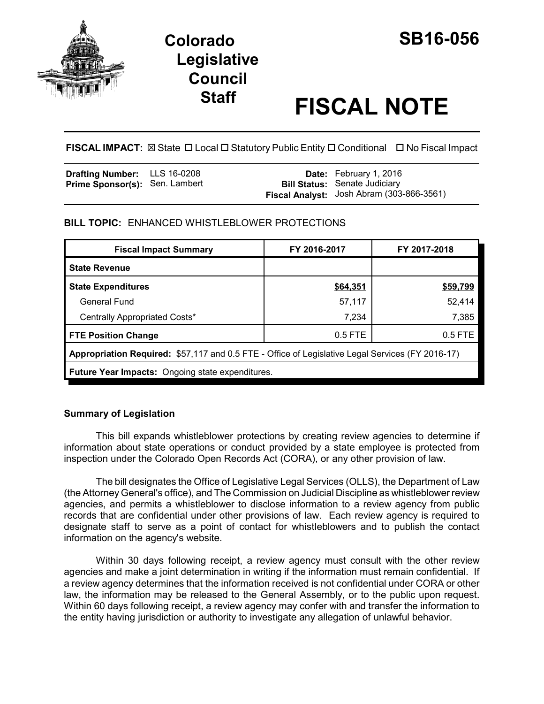

# **Colorado SB16-056 Legislative Council**

# **Staff FISCAL NOTE**

**FISCAL IMPACT:** ⊠ State □ Local □ Statutory Public Entity □ Conditional □ No Fiscal Impact

| <b>Drafting Number:</b> LLS 16-0208   |  | <b>Date:</b> February 1, 2016                    |
|---------------------------------------|--|--------------------------------------------------|
| <b>Prime Sponsor(s): Sen. Lambert</b> |  | <b>Bill Status: Senate Judiciary</b>             |
|                                       |  | <b>Fiscal Analyst:</b> Josh Abram (303-866-3561) |

# **BILL TOPIC:** ENHANCED WHISTLEBLOWER PROTECTIONS

| <b>Fiscal Impact Summary</b>                                                                     | FY 2016-2017 | FY 2017-2018 |  |  |  |
|--------------------------------------------------------------------------------------------------|--------------|--------------|--|--|--|
| <b>State Revenue</b>                                                                             |              |              |  |  |  |
| <b>State Expenditures</b>                                                                        | \$64,351     | \$59,799     |  |  |  |
| General Fund                                                                                     | 57,117       | 52,414       |  |  |  |
| Centrally Appropriated Costs*                                                                    | 7,234        | 7,385        |  |  |  |
| <b>FTE Position Change</b>                                                                       | $0.5$ FTE    | $0.5$ FTE    |  |  |  |
| Appropriation Required: \$57,117 and 0.5 FTE - Office of Legislative Legal Services (FY 2016-17) |              |              |  |  |  |
| <b>Future Year Impacts:</b> Ongoing state expenditures.                                          |              |              |  |  |  |

## **Summary of Legislation**

This bill expands whistleblower protections by creating review agencies to determine if information about state operations or conduct provided by a state employee is protected from inspection under the Colorado Open Records Act (CORA), or any other provision of law.

The bill designates the Office of Legislative Legal Services (OLLS), the Department of Law (the Attorney General's office), and The Commission on Judicial Discipline as whistleblower review agencies, and permits a whistleblower to disclose information to a review agency from public records that are confidential under other provisions of law. Each review agency is required to designate staff to serve as a point of contact for whistleblowers and to publish the contact information on the agency's website.

Within 30 days following receipt, a review agency must consult with the other review agencies and make a joint determination in writing if the information must remain confidential. If a review agency determines that the information received is not confidential under CORA or other law, the information may be released to the General Assembly, or to the public upon request. Within 60 days following receipt, a review agency may confer with and transfer the information to the entity having jurisdiction or authority to investigate any allegation of unlawful behavior.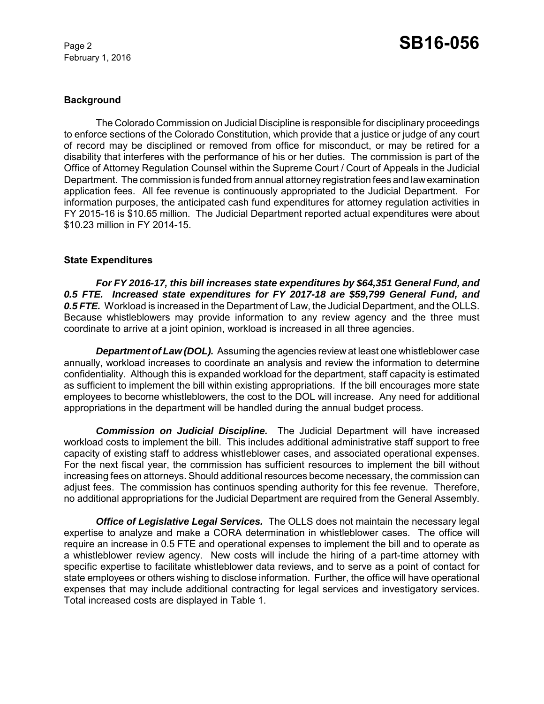February 1, 2016

#### **Background**

The Colorado Commission on Judicial Discipline is responsible for disciplinary proceedings to enforce sections of the Colorado Constitution, which provide that a justice or judge of any court of record may be disciplined or removed from office for misconduct, or may be retired for a disability that interferes with the performance of his or her duties. The commission is part of the Office of Attorney Regulation Counsel within the Supreme Court / Court of Appeals in the Judicial Department. The commission is funded from annual attorney registration fees and law examination application fees. All fee revenue is continuously appropriated to the Judicial Department. For information purposes, the anticipated cash fund expenditures for attorney regulation activities in FY 2015-16 is \$10.65 million. The Judicial Department reported actual expenditures were about \$10.23 million in FY 2014-15.

#### **State Expenditures**

*For FY 2016-17, this bill increases state expenditures by \$64,351 General Fund, and 0.5 FTE. Increased state expenditures for FY 2017-18 are \$59,799 General Fund, and 0.5 FTE.* Workload is increased in the Department of Law, the Judicial Department, and the OLLS. Because whistleblowers may provide information to any review agency and the three must coordinate to arrive at a joint opinion, workload is increased in all three agencies.

**Department of Law (DOL).** Assuming the agencies review at least one whistleblower case annually, workload increases to coordinate an analysis and review the information to determine confidentiality. Although this is expanded workload for the department, staff capacity is estimated as sufficient to implement the bill within existing appropriations. If the bill encourages more state employees to become whistleblowers, the cost to the DOL will increase. Any need for additional appropriations in the department will be handled during the annual budget process.

*Commission on Judicial Discipline.* The Judicial Department will have increased workload costs to implement the bill. This includes additional administrative staff support to free capacity of existing staff to address whistleblower cases, and associated operational expenses. For the next fiscal year, the commission has sufficient resources to implement the bill without increasing fees on attorneys. Should additional resources become necessary, the commission can adjust fees. The commission has continuos spending authority for this fee revenue. Therefore, no additional appropriations for the Judicial Department are required from the General Assembly.

*Office of Legislative Legal Services.* The OLLS does not maintain the necessary legal expertise to analyze and make a CORA determination in whistleblower cases. The office will require an increase in 0.5 FTE and operational expenses to implement the bill and to operate as a whistleblower review agency. New costs will include the hiring of a part-time attorney with specific expertise to facilitate whistleblower data reviews, and to serve as a point of contact for state employees or others wishing to disclose information. Further, the office will have operational expenses that may include additional contracting for legal services and investigatory services. Total increased costs are displayed in Table 1.